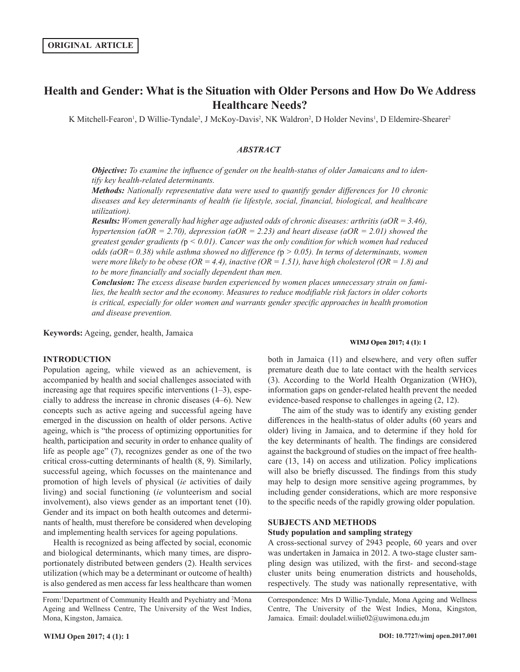# **Health and Gender: What is the Situation with Older Persons and How Do We Address Healthcare Needs?**

K Mitchell-Fearon<sup>1</sup>, D Willie-Tyndale<sup>2</sup>, J McKoy-Davis<sup>2</sup>, NK Waldron<sup>2</sup>, D Holder Nevins<sup>1</sup>, D Eldemire-Shearer<sup>2</sup>

# *ABSTRACT*

*Objective: To examine the influence of gender on the health-status of older Jamaicans and to identify key health-related determinants.*

*Methods: Nationally representative data were used to quantify gender differences for 10 chronic diseases and key determinants of health (ie lifestyle, social, financial, biological, and healthcare utilization).*

*Results: Women generally had higher age adjusted odds of chronic diseases: arthritis (aOR = 3.46), hypertension (aOR = 2.70), depression (aOR = 2.23) and heart disease (aOR = 2.01) showed the greatest gender gradients (*p *< 0.01). Cancer was the only condition for which women had reduced odds (aOR= 0.38) while asthma showed no difference (*p *> 0.05). In terms of determinants, women were more likely to be obese (OR = 4.4), inactive (OR = 1.51), have high cholesterol (OR = 1.8) and to be more financially and socially dependent than men.*

*Conclusion: The excess disease burden experienced by women places unnecessary strain on families, the health sector and the economy. Measures to reduce modifiable risk factors in older cohorts is critical, especially for older women and warrants gender specific approaches in health promotion and disease prevention.*

**Keywords:** Ageing, gender, health, Jamaica

# **INTRODUCTION**

Population ageing, while viewed as an achievement, is accompanied by health and social challenges associated with increasing age that requires specific interventions  $(1-3)$ , especially to address the increase in chronic diseases (4–6). New concepts such as active ageing and successful ageing have emerged in the discussion on health of older persons. Active ageing, which is "the process of optimizing opportunities for health, participation and security in order to enhance quality of life as people age" (7), recognizes gender as one of the two critical cross-cutting determinants of health (8, 9). Similarly, successful ageing, which focusses on the maintenance and promotion of high levels of physical (*ie* activities of daily living) and social functioning (*ie* volunteerism and social involvement), also views gender as an important tenet (10). Gender and its impact on both health outcomes and determinants of health, must therefore be considered when developing and implementing health services for ageing populations.

Health is recognized as being affected by social, economic and biological determinants, which many times, are disproportionately distributed between genders (2). Health services utilization (which may be a determinant or outcome of health) is also gendered as men access far less healthcare than women

From: <sup>1</sup>Department of Community Health and Psychiatry and <sup>2</sup>Mona Ageing and Wellness Centre, The University of the West Indies, Mona, Kingston, Jamaica.

#### **WIMJ Open 2017; 4 (1): 1**

both in Jamaica (11) and elsewhere, and very often suffer premature death due to late contact with the health services (3). According to the World Health Organization (WHO), information gaps on gender-related health prevent the needed evidence-based response to challenges in ageing (2, 12).

The aim of the study was to identify any existing gender differences in the health-status of older adults (60 years and older) living in Jamaica, and to determine if they hold for the key determinants of health. The findings are considered against the background of studies on the impact of free healthcare (13, 14) on access and utilization. Policy implications will also be briefly discussed. The findings from this study may help to design more sensitive ageing programmes, by including gender considerations, which are more responsive to the specific needs of the rapidly growing older population.

# **SUBJECTS AND METHODS Study population and sampling strategy**

A cross-sectional survey of 2943 people, 60 years and over was undertaken in Jamaica in 2012. A two-stage cluster sampling design was utilized, with the first- and second-stage cluster units being enumeration districts and households, respectively. The study was nationally representative, with

Correspondence: Mrs D Willie-Tyndale, Mona Ageing and Wellness Centre, The University of the West Indies, Mona, Kingston, Jamaica. Email: douladel.wiilie02@uwimona.edu.jm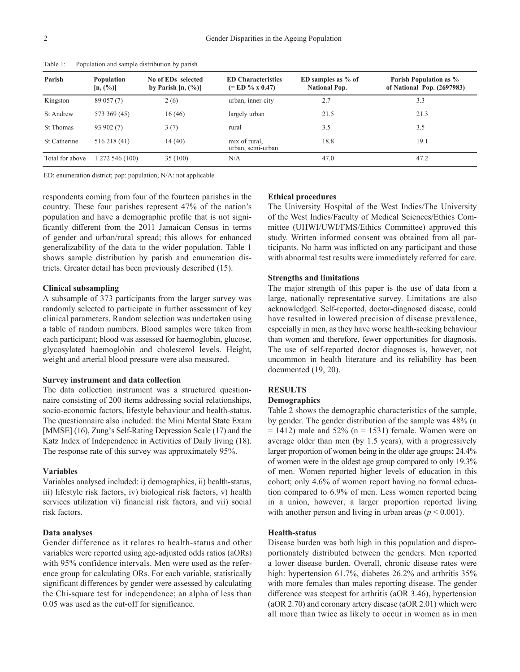| Parish           | <b>Population</b><br>$[n, (\%)]$ | No of EDs selected<br>by Parish $[n, (\%)]$ | <b>ED</b> Characteristics<br>$(=$ ED % x 0.47) | ED samples as $%$ of<br><b>National Pop.</b> | Parish Population as %<br>of National Pop. (2697983) |
|------------------|----------------------------------|---------------------------------------------|------------------------------------------------|----------------------------------------------|------------------------------------------------------|
| Kingston         | 89 057 (7)                       | 2(6)                                        | urban, inner-city                              | 2.7                                          | 3.3                                                  |
| <b>St Andrew</b> | 573 369 (45)                     | 16(46)                                      | largely urban                                  | 21.5                                         | 21.3                                                 |
| <b>St Thomas</b> | 93 902 (7)                       | 3(7)                                        | rural                                          | 3.5                                          | 3.5                                                  |
| St Catherine     | 516 218 (41)                     | 14(40)                                      | mix of rural,<br>urban, semi-urban             | 18.8                                         | 19.1                                                 |
| Total for above  | 1272546(100)                     | 35(100)                                     | N/A                                            | 47.0                                         | 47.2                                                 |

Table 1: Population and sample distribution by parish

ED: enumeration district; pop: population; N/A: not applicable

respondents coming from four of the fourteen parishes in the country. These four parishes represent 47% of the nation's population and have a demographic profile that is not significantly different from the 2011 Jamaican Census in terms of gender and urban/rural spread; this allows for enhanced generalizability of the data to the wider population. Table 1 shows sample distribution by parish and enumeration districts. Greater detail has been previously described (15).

# **Clinical subsampling**

A subsample of 373 participants from the larger survey was randomly selected to participate in further assessment of key clinical parameters. Random selection was undertaken using a table of random numbers. Blood samples were taken from each participant; blood was assessed for haemoglobin, glucose, glycosylated haemoglobin and cholesterol levels. Height, weight and arterial blood pressure were also measured.

#### **Survey instrument and data collection**

The data collection instrument was a structured questionnaire consisting of 200 items addressing social relationships, socio-economic factors, lifestyle behaviour and health-status. The questionnaire also included: the Mini Mental State Exam [MMSE] (16), Zung's Self-Rating Depression Scale (17) and the Katz Index of Independence in Activities of Daily living (18). The response rate of this survey was approximately 95%.

# **Variables**

Variables analysed included: i) demographics, ii) health-status, iii) lifestyle risk factors, iv) biological risk factors, v) health services utilization vi) financial risk factors, and vii) social risk factors.

# **Data analyses**

Gender difference as it relates to health-status and other variables were reported using age-adjusted odds ratios (aORs) with 95% confidence intervals. Men were used as the reference group for calculating ORs. For each variable, statistically significant differences by gender were assessed by calculating the Chi-square test for independence; an alpha of less than 0.05 was used as the cut-off for significance.

#### **Ethical procedures**

The University Hospital of the West Indies/The University of the West Indies/Faculty of Medical Sciences/Ethics Committee (UHWI/UWI/FMS/Ethics Committee) approved this study. Written informed consent was obtained from all participants. No harm was inflicted on any participant and those with abnormal test results were immediately referred for care.

#### **Strengths and limitations**

The major strength of this paper is the use of data from a large, nationally representative survey. Limitations are also acknowledged. Self-reported, doctor-diagnosed disease, could have resulted in lowered precision of disease prevalence, especially in men, as they have worse health-seeking behaviour than women and therefore, fewer opportunities for diagnosis. The use of self-reported doctor diagnoses is, however, not uncommon in health literature and its reliability has been documented (19, 20).

#### **RESULTS**

### **Demographics**

Table 2 shows the demographic characteristics of the sample, by gender. The gender distribution of the sample was 48% (n  $= 1412$ ) male and 52% (n  $= 1531$ ) female. Women were on average older than men (by 1.5 years), with a progressively larger proportion of women being in the older age groups; 24.4% of women were in the oldest age group compared to only 19.3% of men. Women reported higher levels of education in this cohort; only 4.6% of women report having no formal education compared to 6.9% of men. Less women reported being in a union, however, a larger proportion reported living with another person and living in urban areas  $(p < 0.001)$ .

# **Health-status**

Disease burden was both high in this population and disproportionately distributed between the genders. Men reported a lower disease burden. Overall, chronic disease rates were high: hypertension 61.7%, diabetes 26.2% and arthritis 35% with more females than males reporting disease. The gender difference was steepest for arthritis (aOR 3.46), hypertension (aOR 2.70) and coronary artery disease (aOR 2.01) which were all more than twice as likely to occur in women as in men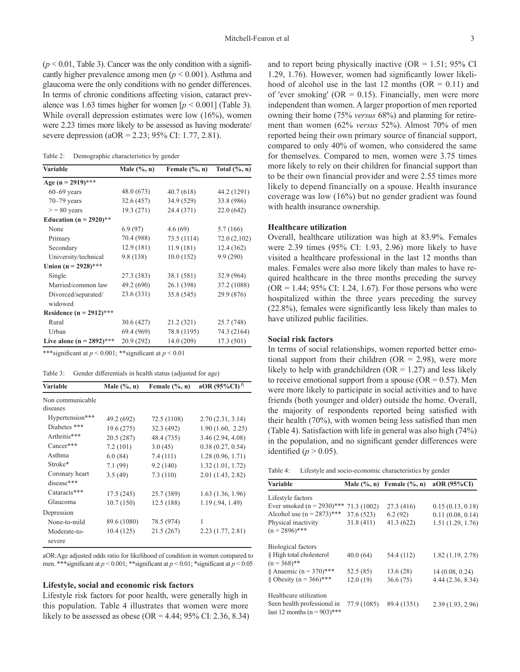$(p < 0.01$ , Table 3). Cancer was the only condition with a significantly higher prevalence among men (*p* < 0.001). Asthma and glaucoma were the only conditions with no gender differences. In terms of chronic conditions affecting vision, cataract prevalence was 1.63 times higher for women  $[p < 0.001]$  (Table 3). While overall depression estimates were low (16%), women were 2.23 times more likely to be assessed as having moderate/ severe depression (aOR = 2.23; 95% CI: 1.77, 2.81).

Table 2: Demographic characteristics by gender

| <b>Variable</b>             | Male $(\%$ , n) | Female $(\%$ , n) | Total $(\%$ , n) |  |
|-----------------------------|-----------------|-------------------|------------------|--|
| Age (n = 2919)***           |                 |                   |                  |  |
| $60 - 69$ years             | 48.0 (673)      | 40.7(618)         | 44.2 (1291)      |  |
| $70 - 79$ years             | 32.6 (457)      | 34.9 (529)        | 33.8 (986)       |  |
| $>$ = 80 years              | 19.3 (271)      | 24.4 (371)        | 22.0(642)        |  |
| Education ( $n = 2920$ )**  |                 |                   |                  |  |
| None                        | 6.9(97)         | 4.6(69)           | 5.7(166)         |  |
| Primary                     | 70.4 (988)      | 73.5 (1114)       | 72.0 (2,102)     |  |
| Secondary                   | 12.9(181)       | 11.9(181)         | 12.4(362)        |  |
| University/technical        | 9.8(138)        | 10.0(152)         | 9.9(290)         |  |
| Union $(n = 2928)$ ***      |                 |                   |                  |  |
| Single                      | 27.3 (383)      | 38.1 (581)        | 32.9 (964)       |  |
| Married/common law          | 49.2 (690)      | 26.1 (398)        | 37.2 (1088)      |  |
| Divorced/separated/         | 23.6 (331)      | 35.8 (545)        | 29.9 (876)       |  |
| widowed                     |                 |                   |                  |  |
| Residence $(n = 2912)$ ***  |                 |                   |                  |  |
| Rural                       | 30.6 (427)      | 21.2 (321)        | 25.7 (748)       |  |
| Urban                       | 69.4 (969)      | 78.8 (1195)       | 74.3 (2164)      |  |
| Live alone (n = $2892$ )*** | 20.9 (292)      | 14.0 (209)        | 17.3 (501)       |  |

\*\*\*significant at *p* < 0.001; \*\*significant at *p* < 0.01

Table 3: Gender differentials in health status (adjusted for age)

| <b>Variable</b>        | Male $(\%$ , n) | Female $(\%$ , n) | aOR $(95\%CI)$ <sup><math>\wedge</math></sup> |
|------------------------|-----------------|-------------------|-----------------------------------------------|
| Non communicable       |                 |                   |                                               |
| diseases               |                 |                   |                                               |
| Hypertension***        | 49.2 (692)      | 72.5 (1108)       | 2.70(2.31, 3.14)                              |
| Diabetes ***           | 19.6 (275)      | 32.3 (492)        | 1.90(1.60, 2.25)                              |
| Arthritis***           | 20.5 (287)      | 48.4 (735)        | 3.46(2.94, 4.08)                              |
| Cancer***              | 7.2(101)        | 3.0(45)           | 0.38(0.27, 0.54)                              |
| Asthma                 | 6.0(84)         | 7.4(111)          | 1.28(0.96, 1.71)                              |
| Stroke*                | 7.1(99)         | 9.2(140)          | 1.32(1.01, 1.72)                              |
| Coronary heart         | 3.5(49)         | 7.3(110)          | 2.01 (1.43, 2.82)                             |
| disease***             |                 |                   |                                               |
| Cataracts***           | 17.5(245)       | 25.7 (389)        | 1.63(1.36, 1.96)                              |
| Glaucoma               | 10.7(150)       | 12.5(188)         | 1.19(0.94, 1.49)                              |
| Depression             |                 |                   |                                               |
| None-to-mild           | 89.6 (1080)     | 78.5 (974)        | 1                                             |
| Moderate-to-<br>severe | 10.4 (125)      | 21.5 (267)        | 2.23(1.77, 2.81)                              |

aOR:Age adjusted odds ratio for likelihood of condition in women compared to men. \*\*\*significant at *p* < 0.001; \*\*significant at *p* < 0.01; \*significant at *p* < 0.05

#### **Lifestyle, social and economic risk factors**

Lifestyle risk factors for poor health, were generally high in this population. Table 4 illustrates that women were more likely to be assessed as obese (OR = 4.44;  $95\%$  CI: 2.36, 8.34)

and to report being physically inactive (OR =  $1.51$ ; 95% CI 1.29, 1.76). However, women had significantly lower likelihood of alcohol use in the last 12 months ( $OR = 0.11$ ) and of 'ever smoking' ( $OR = 0.15$ ). Financially, men were more independent than women. A larger proportion of men reported owning their home (75% *versus* 68%) and planning for retirement than women (62% *versus* 52%). Almost 70% of men reported being their own primary source of financial support, compared to only 40% of women, who considered the same for themselves. Compared to men, women were 3.75 times more likely to rely on their children for financial support than to be their own financial provider and were 2.55 times more likely to depend financially on a spouse. Health insurance coverage was low (16%) but no gender gradient was found with health insurance ownership.

### **Healthcare utilization**

Overall, healthcare utilization was high at 83.9%. Females were 2.39 times (95% CI: 1.93, 2.96) more likely to have visited a healthcare professional in the last 12 months than males. Females were also more likely than males to have required healthcare in the three months preceding the survey  $(OR = 1.44; 95\% \text{ CI: } 1.24, 1.67)$ . For those persons who were hospitalized within the three years preceding the survey (22.8%), females were significantly less likely than males to have utilized public facilities.

# **Social risk factors**

In terms of social relationships, women reported better emotional support from their children ( $OR = 2.98$ ), were more likely to help with grandchildren  $(OR = 1.27)$  and less likely to receive emotional support from a spouse ( $OR = 0.57$ ). Men were more likely to participate in social activities and to have friends (both younger and older) outside the home. Overall, the majority of respondents reported being satisfied with their health (70%), with women being less satisfied than men (Table 4). Satisfaction with life in general was also high (74%) in the population, and no significant gender differences were identified ( $p > 0.05$ ).

| Table 4: |  | Lifestyle and socio-economic characteristics by gender |  |  |  |  |
|----------|--|--------------------------------------------------------|--|--|--|--|
|----------|--|--------------------------------------------------------|--|--|--|--|

| <b>Variable</b>                                                |             | Male $(\%$ , n) Female $(\%$ , n) | aOR (95%CI)       |
|----------------------------------------------------------------|-------------|-----------------------------------|-------------------|
| Lifestyle factors                                              |             |                                   |                   |
| Ever smoked $(n = 2930)$ *** 71.3 (1002)                       |             | 27.3(416)                         | 0.15(0.13, 0.18)  |
| Alcohol use $(n = 2873)$ ***                                   | 37.6 (523)  | 6.2(92)                           | 0.11(0.08, 0.14)  |
| Physical inactivity<br>$(n = 2896)$ ***                        | 31.8(411)   | 41.3(622)                         | 1.51(1.29, 1.76)  |
| Biological factors                                             |             |                                   |                   |
| § High total cholesterol<br>$(n = 368)$ **                     | 40.0(64)    | 54.4 (112)                        | 1.82(1.19, 2.78)  |
| § Anaemic ( $n = 370$ )***                                     | 52.5(85)    | 13.6(28)                          | 14(0.08, 0.24)    |
| $\text{\&}$ Obesity (n = 366)***                               | 12.0(19)    | 36.6(75)                          | 4.44 (2.36, 8.34) |
| Healthcare utilization                                         |             |                                   |                   |
| Seen health professional in<br>last 12 months ( $n = 903$ )*** | 77.9 (1085) | 89.4 (1351)                       | 2.39(1.93, 2.96)  |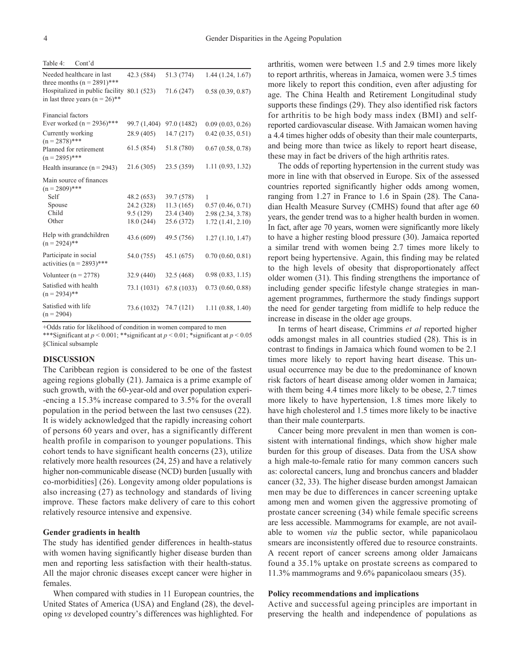| Cont'd<br>Table 4:                                                              |              |             |                  |
|---------------------------------------------------------------------------------|--------------|-------------|------------------|
| Needed healthcare in last<br>three months $(n = 2891)$ ***                      | 42.3 (584)   | 51.3 (774)  | 1.44(1.24, 1.67) |
| Hospitalized in public facility 80.1 (523)<br>in last three years $(n = 26)$ ** |              | 71.6 (247)  | 0.58(0.39, 0.87) |
| Financial factors                                                               |              |             |                  |
| Ever worked ( $n = 2936$ )***                                                   | 99.7 (1,404) | 97.0 (1482) | 0.09(0.03, 0.26) |
| Currently working<br>$(n = 2878)$ ***                                           | 28.9 (405)   | 14.7(217)   | 0.42(0.35, 0.51) |
| Planned for retirement<br>$(n = 2895)$ ***                                      | 61.5(854)    | 51.8 (780)  | 0.67(0.58, 0.78) |
| Health insurance $(n = 2943)$                                                   | 21.6(305)    | 23.5 (359)  | 1.11(0.93, 1.32) |
| Main source of finances<br>$(n = 2809)$ ***                                     |              |             |                  |
| Self                                                                            | 48.2 (653)   | 39.7 (578)  | 1                |
| Spouse                                                                          | 24.2 (328)   | 11.3(165)   | 0.57(0.46, 0.71) |
| Child                                                                           | 9.5(129)     | 23.4 (340)  | 2.98(2.34, 3.78) |
| Other                                                                           | 18.0 (244)   | 25.6 (372)  | 1.72(1.41, 2.10) |
| Help with grandchildren<br>$(n = 2924)$ **                                      | 43.6 (609)   | 49.5 (756)  | 1.27(1.10, 1.47) |
| Participate in social<br>activities ( $n = 2893$ )***                           | 54.0 (755)   | 45.1 (675)  | 0.70(0.60, 0.81) |
| Volunteer ( $n = 2778$ )                                                        | 32.9(440)    | 32.5 (468)  | 0.98(0.83, 1.15) |
| Satisfied with health<br>$(n = 2934)$ **                                        | 73.1 (1031)  | 67.8 (1033) | 0.73(0.60, 0.88) |
| Satisfied with life<br>$(n = 2904)$                                             | 73.6 (1032)  | 74.7 (121)  | 1.11(0.88, 1.40) |

+Odds ratio for likelihood of condition in women compared to men

\*\*\*Significant at *p* < 0.001; \*\*significant at *p* < 0.01; \*significant at *p* < 0.05 §Clinical subsample

# **DISCUSSION**

The Caribbean region is considered to be one of the fastest ageing regions globally (21). Jamaica is a prime example of such growth, with the 60-year-old and over population experi- -encing a 15.3% increase compared to 3.5% for the overall population in the period between the last two censuses (22). It is widely acknowledged that the rapidly increasing cohort of persons 60 years and over, has a significantly different health profile in comparison to younger populations. This cohort tends to have significant health concerns (23), utilize relatively more health resources (24, 25) and have a relatively higher non-communicable disease (NCD) burden [usually with co-morbidities] (26). Longevity among older populations is also increasing (27) as technology and standards of living improve. These factors make delivery of care to this cohort relatively resource intensive and expensive.

#### **Gender gradients in health**

The study has identified gender differences in health-status with women having significantly higher disease burden than men and reporting less satisfaction with their health-status. All the major chronic diseases except cancer were higher in females.

When compared with studies in 11 European countries, the United States of America (USA) and England (28), the developing *vs* developed country's differences was highlighted. For

arthritis, women were between 1.5 and 2.9 times more likely to report arthritis, whereas in Jamaica, women were 3.5 times more likely to report this condition, even after adjusting for age. The China Health and Retirement Longitudinal study supports these findings (29). They also identified risk factors for arthritis to be high body mass index (BMI) and selfreported cardiovascular disease. With Jamaican women having a 4.4 times higher odds of obesity than their male counterparts, and being more than twice as likely to report heart disease, these may in fact be drivers of the high arthritis rates.

The odds of reporting hypertension in the current study was more in line with that observed in Europe. Six of the assessed countries reported significantly higher odds among women, ranging from 1.27 in France to 1.6 in Spain (28). The Canadian Health Measure Survey (CMHS) found that after age 60 years, the gender trend was to a higher health burden in women. In fact, after age 70 years, women were significantly more likely to have a higher resting blood pressure (30). Jamaica reported a similar trend with women being 2.7 times more likely to report being hypertensive. Again, this finding may be related to the high levels of obesity that disproportionately affect older women (31). This finding strengthens the importance of including gender specific lifestyle change strategies in management programmes, furthermore the study findings support the need for gender targeting from midlife to help reduce the increase in disease in the older age groups.

In terms of heart disease, Crimmins *et al* reported higher odds amongst males in all countries studied (28). This is in contrast to findings in Jamaica which found women to be 2.1 times more likely to report having heart disease. This unusual occurrence may be due to the predominance of known risk factors of heart disease among older women in Jamaica; with them being 4.4 times more likely to be obese, 2.7 times more likely to have hypertension, 1.8 times more likely to have high cholesterol and 1.5 times more likely to be inactive than their male counterparts.

Cancer being more prevalent in men than women is consistent with international findings, which show higher male burden for this group of diseases. Data from the USA show a high male-to-female ratio for many common cancers such as: colorectal cancers, lung and bronchus cancers and bladder cancer (32, 33). The higher disease burden amongst Jamaican men may be due to differences in cancer screening uptake among men and women given the aggressive promoting of prostate cancer screening (34) while female specific screens are less accessible. Mammograms for example, are not available to women *via* the public sector, while papanicolaou smears are inconsistently offered due to resource constraints. A recent report of cancer screens among older Jamaicans found a 35.1% uptake on prostate screens as compared to 11.3% mammograms and 9.6% papanicolaou smears (35).

#### **Policy recommendations and implications**

Active and successful ageing principles are important in preserving the health and independence of populations as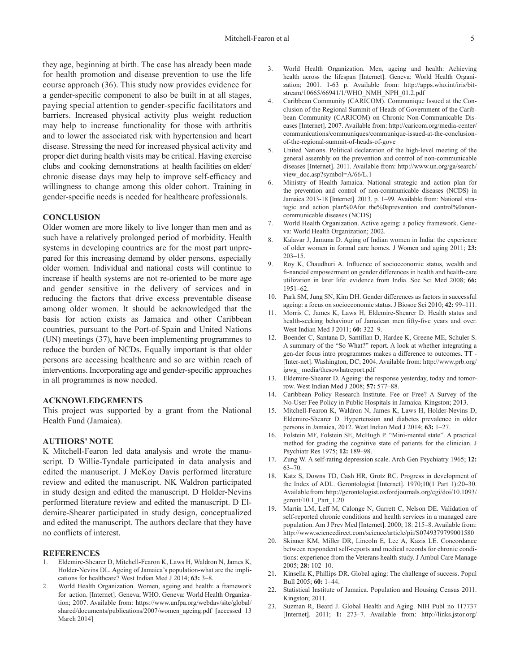they age, beginning at birth. The case has already been made for health promotion and disease prevention to use the life course approach (36). This study now provides evidence for a gender-specific component to also be built in at all stages, paying special attention to gender-specific facilitators and barriers. Increased physical activity plus weight reduction may help to increase functionality for those with arthritis and to lower the associated risk with hypertension and heart disease. Stressing the need for increased physical activity and proper diet during health visits may be critical. Having exercise clubs and cooking demonstrations at health facilities on elder/ chronic disease days may help to improve self-efficacy and willingness to change among this older cohort. Training in gender-specific needs is needed for healthcare professionals.

# **CONCLUSION**

Older women are more likely to live longer than men and as such have a relatively prolonged period of morbidity. Health systems in developing countries are for the most part unprepared for this increasing demand by older persons, especially older women. Individual and national costs will continue to increase if health systems are not re-oriented to be more age and gender sensitive in the delivery of services and in reducing the factors that drive excess preventable disease among older women. It should be acknowledged that the basis for action exists as Jamaica and other Caribbean countries, pursuant to the Port-of-Spain and United Nations (UN) meetings (37), have been implementing programmes to reduce the burden of NCDs. Equally important is that older persons are accessing healthcare and so are within reach of interventions. Incorporating age and gender-specific approaches in all programmes is now needed.

#### **ACKNOWLEDGEMENTS**

This project was supported by a grant from the National Health Fund (Jamaica).

# **AUTHORS' NOTE**

K Mitchell-Fearon led data analysis and wrote the manuscript. D Willie-Tyndale participated in data analysis and edited the manuscript. J McKoy Davis performed literature review and edited the manuscript. NK Waldron participated in study design and edited the manuscript. D Holder-Nevins performed literature review and edited the manuscript. D Eldemire-Shearer participated in study design, conceptualized and edited the manuscript. The authors declare that they have no conflicts of interest.

#### **REFERENCES**

- Eldemire-Shearer D, Mitchell-Fearon K, Laws H, Waldron N, James K, Holder-Nevins DL. Ageing of Jamaica's population-what are the implications for healthcare? West Indian Med J 2014; **63:** 3–8.
- 2. World Health Organization. Women, ageing and health: a framework for action. [Internet]. Geneva; WHO. Geneva: World Health Organization; 2007. Available from: https://www.unfpa.org/webdav/site/global/ shared/documents/publications/2007/women\_ageing.pdf [accessed 13 March 2014]
- 3. World Health Organization. Men, ageing and health: Achieving health across the lifespan [Internet]. Geneva: World Health Organization; 2001. 1-63 p. Available from: http://apps.who.int/iris/bitstream/10665/66941/1/WHO\_NMH\_NPH\_01.2.pdf
- 4. Caribbean Community (CARICOM). Communique Issued at the Conclusion of the Regional Summit of Heads of Government of the Caribbean Community (CARICOM) on Chronic Non-Communicable Diseases [Internet]. 2007. Available from: http://caricom.org/media-center/ communications/communiques/communique-issued-at-the-conclusionof-the-regional-summit-of-heads-of-gove
- 5. United Nations. Political declaration of the high-level meeting of the general assembly on the prevention and control of non-communicable diseases [Internet]. 2011. Available from: http://www.un.org/ga/search/ view\_doc.asp?symbol=A/66/L.1
- 6. Ministry of Health Jamaica. National strategic and action plan for the prevention and control of non-communicable diseases (NCDS) in Jamaica 2013-18 [Internet]. 2013. p. 1–99. Available from: National strategic and action plan%0Afor the%0aprevention and control%0anoncommunicable diseases (NCDS)
- 7. World Health Organization. Active ageing: a policy framework. Geneva: World Health Organization; 2002.
- Kalavar J, Jamuna D. Aging of Indian women in India: the experience of older women in formal care homes. J Women and aging 2011; **23:**  203–15.
- 9. Roy K, Chaudhuri A. Influence of socioeconomic status, wealth and fi-nancial empowerment on gender differences in health and health-care utilization in later life: evidence from India. Soc Sci Med 2008; **66:**  1951–62.
- 10. Park SM, Jung SN, Kim DH. Gender differences as factors in successful ageing: a focus on socioeconomic status. J Biosoc Sci 2010; **42:** 99–111.
- 11. Morris C, James K, Laws H, Eldemire-Shearer D. Health status and health-seeking behaviour of Jamaican men fifty-five years and over. West Indian Med J 2011; **60:** 322–9.
- 12. Boender C, Santana D, Santillan D, Hardee K, Greene ME, Schuler S. A summary of the "So What?" report. A look at whether integrating a gen-der focus intro programmes makes a difference to outcomes. TT - [Inter-net]. Washington, DC; 2004. Available from: http://www.prb.org/ igwg\_ media/thesowhatreport.pdf
- 13. Eldemire-Shearer D. Ageing: the response yesterday, today and tomorrow. West Indian Med J 2008; **57:** 577–88.
- 14. Caribbean Policy Research Institute. Fee or Free? A Survey of the No-User Fee Policy in Public Hospitals in Jamaica. Kingston; 2013.
- 15. Mitchell-Fearon K, Waldron N, James K, Laws H, Holder-Nevins D, Eldemire-Shearer D. Hypertension and diabetes prevalence in older persons in Jamaica, 2012. West Indian Med J 2014; **63:** 1–27.
- 16. Folstein MF, Folstein SE, McHugh P. "Mini-mental state". A practical method for grading the cognitive state of patients for the clinician. J Psychiatr Res 1975; **12:** 189–98.
- 17. Zung W. A self-rating depression scale. Arch Gen Psychiatry 1965; **12:**  63–70.
- 18. Katz S, Downs TD, Cash HR, Grotz RC. Progress in development of the Index of ADL. Gerontologist [Internet]. 1970;10(1 Part 1):20–30. Available from: http://gerontologist.oxfordjournals.org/cgi/doi/10.1093/ geront/10.1\_Part\_1.20
- 19. Martin LM, Leff M, Calonge N, Garrett C, Nelson DE. Validation of self-reported chronic conditions and health services in a managed care population. Am J Prev Med [Internet]. 2000; 18: 215–8. Available from: http://www.sciencedirect.com/science/article/pii/S0749379799001580
- 20. Skinner KM, Miller DR, Lincoln E, Lee A, Kazis LE. Concordance between respondent self-reports and medical records for chronic conditions: experience from the Veterans health study. J Ambul Care Manage 2005; **28:** 102–10.
- 21. Kinsella K, Phillips DR. Global aging: The challenge of success. Popul Bull 2005; **60:** 1–44.
- 22. Statistical Institute of Jamaica. Population and Housing Census 2011. Kingston; 2011.
- 23. Suzman R, Beard J. Global Health and Aging. NIH Publ no 117737 [Internet]. 2011; **1:** 273–7. Available from: http://links.jstor.org/